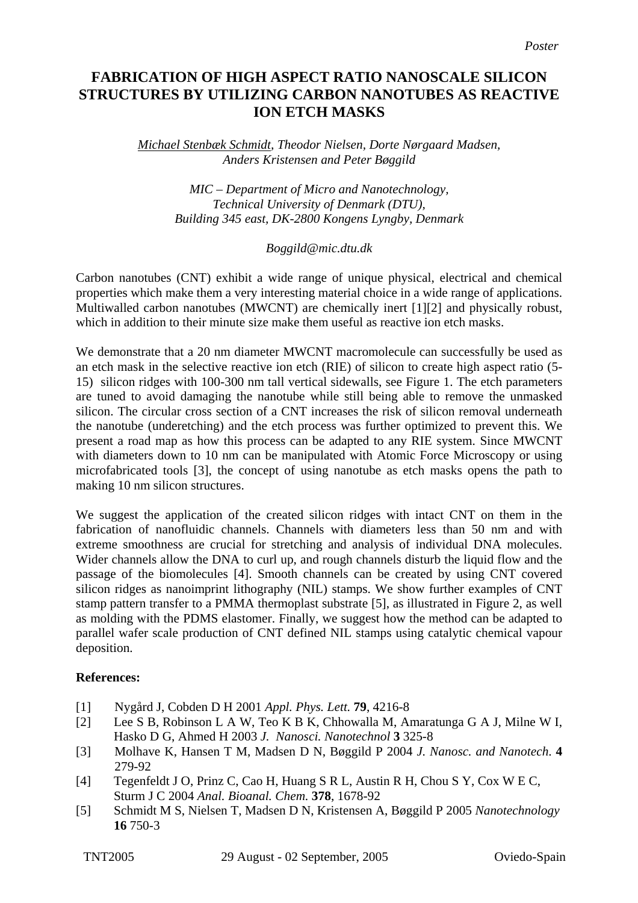## **FABRICATION OF HIGH ASPECT RATIO NANOSCALE SILICON STRUCTURES BY UTILIZING CARBON NANOTUBES AS REACTIVE ION ETCH MASKS**

*Michael Stenbæk Schmidt, Theodor Nielsen, Dorte Nørgaard Madsen, Anders Kristensen and Peter Bøggild*

> *MIC – Department of Micro and Nanotechnology, Technical University of Denmark (DTU), Building 345 east, DK-2800 Kongens Lyngby, Denmark*

## *Boggild@mic.dtu.dk*

Carbon nanotubes (CNT) exhibit a wide range of unique physical, electrical and chemical properties which make them a very interesting material choice in a wide range of applications. Multiwalled carbon nanotubes (MWCNT) are chemically inert [1][2] and physically robust, which in addition to their minute size make them useful as reactive ion etch masks.

We demonstrate that a 20 nm diameter MWCNT macromolecule can successfully be used as an etch mask in the selective reactive ion etch (RIE) of silicon to create high aspect ratio (5- 15) silicon ridges with 100-300 nm tall vertical sidewalls, see Figure 1. The etch parameters are tuned to avoid damaging the nanotube while still being able to remove the unmasked silicon. The circular cross section of a CNT increases the risk of silicon removal underneath the nanotube (underetching) and the etch process was further optimized to prevent this. We present a road map as how this process can be adapted to any RIE system. Since MWCNT with diameters down to 10 nm can be manipulated with Atomic Force Microscopy or using microfabricated tools [3], the concept of using nanotube as etch masks opens the path to making 10 nm silicon structures.

We suggest the application of the created silicon ridges with intact CNT on them in the fabrication of nanofluidic channels. Channels with diameters less than 50 nm and with extreme smoothness are crucial for stretching and analysis of individual DNA molecules. Wider channels allow the DNA to curl up, and rough channels disturb the liquid flow and the passage of the biomolecules [4]. Smooth channels can be created by using CNT covered silicon ridges as nanoimprint lithography (NIL) stamps. We show further examples of CNT stamp pattern transfer to a PMMA thermoplast substrate [5], as illustrated in Figure 2, as well as molding with the PDMS elastomer. Finally, we suggest how the method can be adapted to parallel wafer scale production of CNT defined NIL stamps using catalytic chemical vapour deposition.

## **References:**

- [1] Nygård J, Cobden D H 2001 *Appl. Phys. Lett.* **79**, 4216-8
- [2] Lee S B, Robinson L A W, Teo K B K, Chhowalla M, Amaratunga G A J, Milne W I, Hasko D G, Ahmed H 2003 *J. Nanosci. Nanotechnol* **3** 325-8
- [3] Molhave K, Hansen T M, Madsen D N, Bøggild P 2004 *J. Nanosc. and Nanotech*. **4** 279-92
- [4] Tegenfeldt J O, Prinz C, Cao H, Huang S R L, Austin R H, Chou S Y, Cox W E C, Sturm J C 2004 *Anal. Bioanal. Chem.* **378**, 1678-92
- [5] Schmidt M S, Nielsen T, Madsen D N, Kristensen A, Bøggild P 2005 *Nanotechnology* **16** 750-3